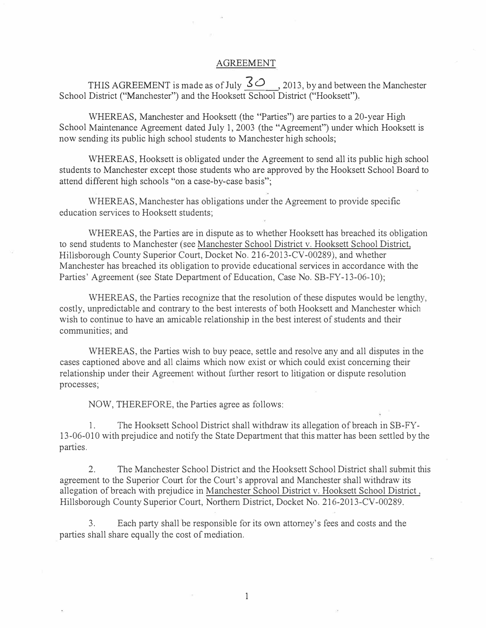## AGREEMENT

THIS AGREEMENT is made as of July  $3\degree$ , 2013, by and between the Manchester School District ("Manchester") and the Hooksett School District ("Hooksett").

WHEREAS, Manchester and Hooksett (the "Parties") are parties to a 20-year High School Maintenance Agreement dated July 1, 2003 (the "Agreement") under which Hooksett is now sending its public high school students to Manchester high schools;

WHEREAS, Hooksett is obligated under the Agreement to send all its public high school students to Manchester except those students who are approved by the Hooksett School Board to attend different high schools "on a case-by-case basis";

WHEREAS, Manchester has obligations under the Agreement to provide specific education services to Hooksett students;

WHEREAS, the Parties are in dispute as to whether Hooksett has breached its obligation to send students to Manchester (see Manchester School District v. Hooksett School District, Hillsborough County Superior Court, Docket No. 216-2013-CV-00289), and whether Manchester has breached its obligation to provide educational services in accordance with the Parties' Agreement (see State Department of Education, Case No. SB-FY-13-06-10);

WHEREAS, the Parties recognize that the resolution of these disputes would be lengthy, costly, unpredictable and contrary to the best interests of both Hooksett and Manchester which wish to continue to have an amicable relationship in the best interest of students and their communities; and

WHEREAS, the Parties wish to buy peace, settle and resolve any and all disputes in the cases captioned above and all claims which now exist or which could exist concerning their relationship under their Agreement without further resort to litigation or dispute resolution processes;

NOW, THEREFORE, the Parties agree as follows:

1. The Hooksett School District shall withdraw its allegation of breach in SB-FY-13-06-010 with prejudice and notify the State Department that this matter has been settled by the parties.

2. The Manchester School District and the Hooksett School District shall submit this agreement to the Superior Court for the Court's approval and Manchester shall withdraw its allegation of breach with prejudice in Manchester School District v. Hooksett School District, Hillsborough County Superior Court, Northern District, Docket No. 216-2013-CV-00289.

3. Each party shall be responsible for its own attorney's fees and costs and the parties shall share equally the cost of mediation.

1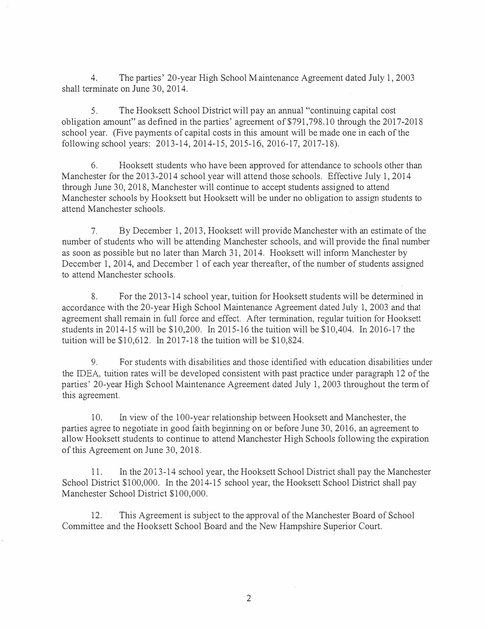4. The parties' 20-year High School Maintenance Agreement dated July 1, 2003 shall terminate on June 30, 2014.

5. The Hooksett School District will pay an annual "continuing capital cost obligation amount" as defined in the parties' agreement of \$791,798.10 through the 2017-2018 school year. (Five payments of capital costs in this amount will be made one in each of the following school years: 2013-14, 2014-15, 2015-16, 2016-17, 2017-18).

6. Hooksett students who have been approved for attendance to schools other than Manchester for the 2013-2014 school year will attend those schools. Effective July 1, 2014 through June 30, 2018, Manchester will continue to accept students assigned to attend Manchester schools by Hooksett but Hooksett will be under no obligation to assign students to attend Manchester schools.

7. By December 1, 2013, Hooksett will provide Manchester with an estimate of the number of students who will be attending Manchester schools, and will provide the final number as soon as possible but no later than March 31, 2014. Hooksett will inform Manchester by December 1, 2014, and December 1 of each year thereafter, of the number of students assigned to attend Manchester schools.

8. For the 2013-14 school year, tuition for Hooksett students will be determined in accordance with the 20-year High School Maintenance Agreement dated July 1, 2003 and that agreement shall remain in. full force and effect. After termination, regular tuition for Hooksett students in 2014-15 will be \$10,200. In 2015-16 the tuition will be \$10,404. In 2016-17 the tuition will be \$10,612. In 2017-18 the tuition will be \$10,824.

9. For students with disabilities and those identified with education disabilities under the IDEA, tuition rates will be developed consistent with past practice under paragraph 12 of the parties' 20-year High School Maintenance Agreement dated July 1, 2003 throughout the term of this agreement.

10. In view of the 100-year relationship between Hooksett and Manchester, the parties agree to negotiate in good faith beginning on or before June 30, 2016, an agreement to allow Hooksett students to continue to attend Manchester High Schools following the expiration of this Agreement on June 30, 2018.

11. In the 2013-14 school year, the Hooksett School District shall pay the Manchester School District \$100,000. In the 2014-15 school year, the Hooksett School District shall pay Manchester School District \$100,000.

12. This Agreement is subject to the approval of the Manchester Board of School Committee and the Hooksett School Board and the New Hampshire Superior Court.